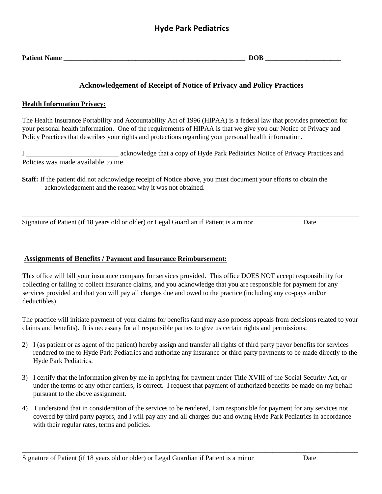# **Hyde Park Pediatrics**

## **Acknowledgement of Receipt of Notice of Privacy and Policy Practices**

#### **Health Information Privacy:**

The Health Insurance Portability and Accountability Act of 1996 (HIPAA) is a federal law that provides protection for your personal health information. One of the requirements of HIPAA is that we give you our Notice of Privacy and Policy Practices that describes your rights and protections regarding your personal health information.

I \_\_\_\_\_\_\_\_\_\_\_\_\_\_\_\_\_\_\_\_\_\_\_\_\_\_\_ acknowledge that a copy of Hyde Park Pediatrics Notice of Privacy Practices and Policies was made available to me.

\_\_\_\_\_\_\_\_\_\_\_\_\_\_\_\_\_\_\_\_\_\_\_\_\_\_\_\_\_\_\_\_\_\_\_\_\_\_\_\_\_\_\_\_\_\_\_\_\_\_\_\_\_\_\_\_\_\_\_\_\_\_\_\_\_\_\_\_\_\_\_\_\_\_\_\_\_\_\_\_\_\_\_\_\_\_\_\_\_\_

**Staff:** If the patient did not acknowledge receipt of Notice above, you must document your efforts to obtain the acknowledgement and the reason why it was not obtained.

Signature of Patient (if 18 years old or older) or Legal Guardian if Patient is a minor Date

### **Assignments of Benefits / Payment and Insurance Reimbursement:**

This office will bill your insurance company for services provided. This office DOES NOT accept responsibility for collecting or failing to collect insurance claims, and you acknowledge that you are responsible for payment for any services provided and that you will pay all charges due and owed to the practice (including any co-pays and/or deductibles).

The practice will initiate payment of your claims for benefits (and may also process appeals from decisions related to your claims and benefits). It is necessary for all responsible parties to give us certain rights and permissions;

- 2) I (as patient or as agent of the patient) hereby assign and transfer all rights of third party payor benefits for services rendered to me to Hyde Park Pediatrics and authorize any insurance or third party payments to be made directly to the Hyde Park Pediatrics.
- 3) I certify that the information given by me in applying for payment under Title XVIII of the Social Security Act, or under the terms of any other carriers, is correct. I request that payment of authorized benefits be made on my behalf pursuant to the above assignment.
- 4) I understand that in consideration of the services to be rendered, I am responsible for payment for any services not covered by third party payors, and I will pay any and all charges due and owing Hyde Park Pediatrics in accordance with their regular rates, terms and policies.

\_\_\_\_\_\_\_\_\_\_\_\_\_\_\_\_\_\_\_\_\_\_\_\_\_\_\_\_\_\_\_\_\_\_\_\_\_\_\_\_\_\_\_\_\_\_\_\_\_\_\_\_\_\_\_\_\_\_\_\_\_\_\_\_\_\_\_\_\_\_\_\_\_\_\_\_\_\_\_\_\_\_\_\_\_\_\_\_\_\_\_\_\_\_\_\_\_\_